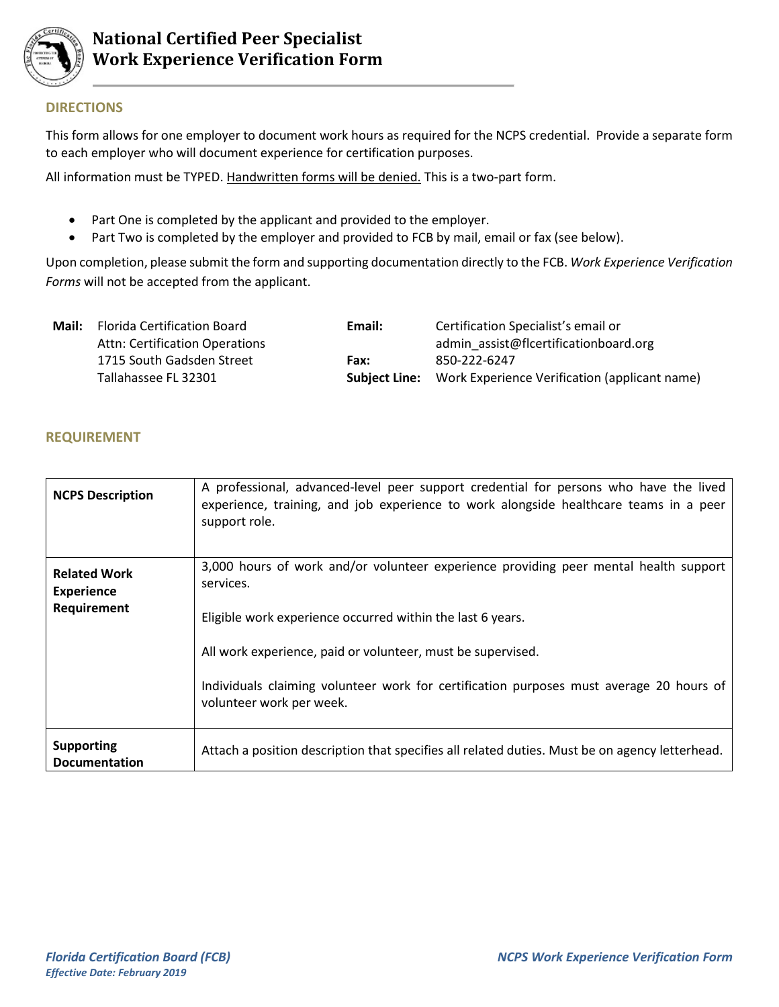

## **DIRECTIONS**

This form allows for one employer to document work hours as required for the NCPS credential. Provide a separate form to each employer who will document experience for certification purposes.

All information must be TYPED. Handwritten forms will be denied. This is a two-part form.

- Part One is completed by the applicant and provided to the employer.
- Part Two is completed by the employer and provided to FCB by mail, email or fax (see below).

Upon completion, please submit the form and supporting documentation directly to the FCB. *Work Experience Verification Forms* will not be accepted from the applicant.

| <b>Florida Certification Board</b> | Email: | Certification Specialist's email or                                |
|------------------------------------|--------|--------------------------------------------------------------------|
| Attn: Certification Operations     |        | admin assist@flcertificationboard.org                              |
| 1715 South Gadsden Street          | Fax:   | 850-222-6247                                                       |
| Tallahassee FL 32301               |        | <b>Subject Line:</b> Work Experience Verification (applicant name) |
|                                    |        |                                                                    |

## **REQUIREMENT**

| <b>NCPS Description</b>                                 | A professional, advanced-level peer support credential for persons who have the lived<br>experience, training, and job experience to work alongside healthcare teams in a peer<br>support role. |
|---------------------------------------------------------|-------------------------------------------------------------------------------------------------------------------------------------------------------------------------------------------------|
| <b>Related Work</b><br><b>Experience</b><br>Requirement | 3,000 hours of work and/or volunteer experience providing peer mental health support<br>services.<br>Eligible work experience occurred within the last 6 years.                                 |
|                                                         | All work experience, paid or volunteer, must be supervised.<br>Individuals claiming volunteer work for certification purposes must average 20 hours of<br>volunteer work per week.              |
| <b>Supporting</b><br><b>Documentation</b>               | Attach a position description that specifies all related duties. Must be on agency letterhead.                                                                                                  |